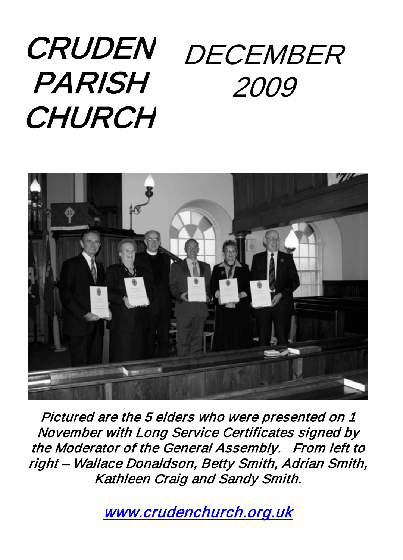# CRUDEN PARISH **CHURCH** DECEMBER 2009



Pictured are the 5 elders who were presented on 1 November with Long Service Certificates signed by the Moderator of the General Assembly. From left to right – Wallace Donaldson, Betty Smith, Adrian Smith, Kathleen Craig and Sandy Smith.

[www.crudenchurch.org.uk](http://www.crudenchurch.org.uk/)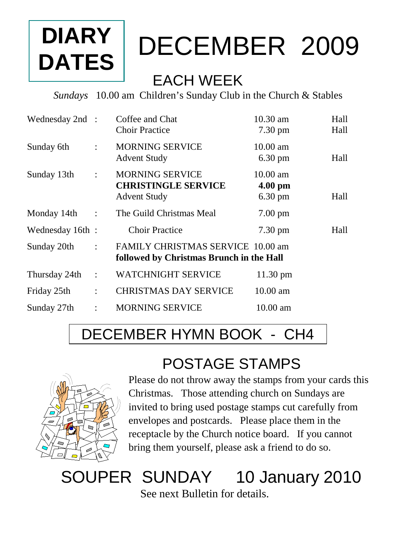# **DIARY DATES**

# DECEMBER 2009

### EACH WEEK

*Sundays* 10.00 am Children's Sunday Club in the Church & Stables

| Wednesday 2nd : |                | Coffee and Chat                          | $10.30$ am         | Hall |
|-----------------|----------------|------------------------------------------|--------------------|------|
|                 |                | Choir Practice                           | $7.30 \text{ pm}$  | Hall |
| Sunday 6th      | ÷              | <b>MORNING SERVICE</b>                   | $10.00$ am         |      |
|                 |                | <b>Advent Study</b>                      | $6.30 \text{ pm}$  | Hall |
| Sunday 13th     | $\ddot{\cdot}$ | <b>MORNING SERVICE</b>                   | $10.00 \text{ am}$ |      |
|                 |                | <b>CHRISTINGLE SERVICE</b>               | $4.00$ pm          |      |
|                 |                | <b>Advent Study</b>                      | $6.30 \text{ pm}$  | Hall |
| Monday 14th     | $\ddot{\cdot}$ | The Guild Christmas Meal                 | $7.00 \text{ pm}$  |      |
| Wednesday 16th: |                | <b>Choir Practice</b>                    | $7.30 \text{ pm}$  | Hall |
| Sunday 20th     | $\ddot{\cdot}$ | FAMILY CHRISTMAS SERVICE 10.00 am        |                    |      |
|                 |                | followed by Christmas Brunch in the Hall |                    |      |
| Thursday 24th   | $\ddot{\cdot}$ | <b>WATCHNIGHT SERVICE</b>                | $11.30 \text{ pm}$ |      |
| Friday 25th     | $\ddot{\cdot}$ | <b>CHRISTMAS DAY SERVICE</b>             | $10.00 \text{ am}$ |      |
| Sunday 27th     | $\ddot{\cdot}$ | <b>MORNING SERVICE</b>                   | $10.00$ am         |      |
|                 |                |                                          |                    |      |

## DECEMBER HYMN BOOK - CH4

## POSTAGE STAMPS



Please do not throw away the stamps from your cards this Christmas. Those attending church on Sundays are invited to bring used postage stamps cut carefully from envelopes and postcards. Please place them in the receptacle by the Church notice board. If you cannot bring them yourself, please ask a friend to do so.

# SOUPER SUNDAY 10 January 2010

See next Bulletin for details.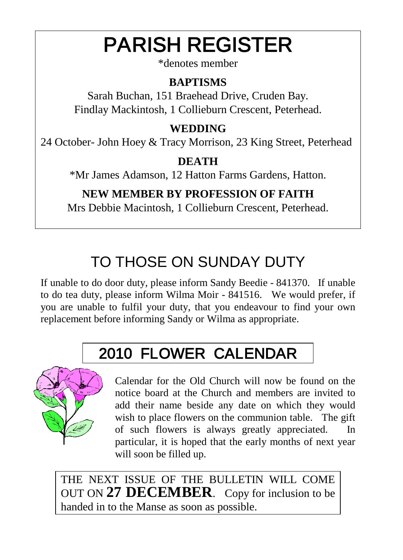# PARISH REGISTER

\*denotes member

#### **BAPTISMS**

Sarah Buchan, 151 Braehead Drive, Cruden Bay. Findlay Mackintosh, 1 Collieburn Crescent, Peterhead.

#### **WEDDING**

24 October- John Hoey & Tracy Morrison, 23 King Street, Peterhead

#### **DEATH**

\*Mr James Adamson, 12 Hatton Farms Gardens, Hatton.

#### **NEW MEMBER BY PROFESSION OF FAITH**

Mrs Debbie Macintosh, 1 Collieburn Crescent, Peterhead.

# TO THOSE ON SUNDAY DUTY

If unable to do door duty, please inform Sandy Beedie - 841370. If unable to do tea duty, please inform Wilma Moir - 841516. We would prefer, if you are unable to fulfil your duty, that you endeavour to find your own replacement before informing Sandy or Wilma as appropriate.

# 2010 FLOWER CALENDAR



Calendar for the Old Church will now be found on the notice board at the Church and members are invited to add their name beside any date on which they would wish to place flowers on the communion table. The gift of such flowers is always greatly appreciated. In particular, it is hoped that the early months of next year will soon be filled up.

THE NEXT ISSUE OF THE BULLETIN WILL COME OUT ON **27 DECEMBER**. Copy for inclusion to be handed in to the Manse as soon as possible.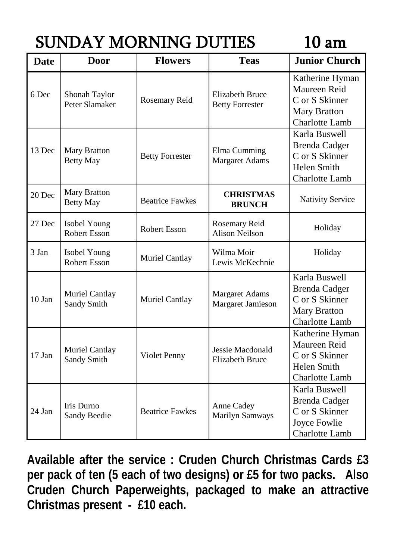# SUNDAY MORNING DUTIES 10 am

| <b>Date</b> | <b>Door</b>                         | <b>Flowers</b>         | <b>Teas</b>                                      | <b>Junior Church</b>                                                                             |
|-------------|-------------------------------------|------------------------|--------------------------------------------------|--------------------------------------------------------------------------------------------------|
| 6 Dec       | Shonah Taylor<br>Peter Slamaker     | Rosemary Reid          | <b>Elizabeth Bruce</b><br><b>Betty Forrester</b> | Katherine Hyman<br>Maureen Reid<br>C or S Skinner<br><b>Mary Bratton</b><br>Charlotte Lamb       |
| 13 Dec      | Mary Bratton<br><b>Betty May</b>    | <b>Betty Forrester</b> | Elma Cumming<br>Margaret Adams                   | Karla Buswell<br><b>Brenda Cadger</b><br>C or S Skinner<br>Helen Smith<br>Charlotte Lamb         |
| 20 Dec      | Mary Bratton<br><b>Betty May</b>    | <b>Beatrice Fawkes</b> | <b>CHRISTMAS</b><br><b>BRUNCH</b>                | <b>Nativity Service</b>                                                                          |
| 27 Dec      | Isobel Young<br><b>Robert Esson</b> | Robert Esson           | Rosemary Reid<br><b>Alison Neilson</b>           | Holiday                                                                                          |
| 3 Jan       | Isobel Young<br>Robert Esson        | Muriel Cantlay         | Wilma Moir<br>Lewis McKechnie                    | Holiday                                                                                          |
| $10$ Jan    | Muriel Cantlay<br>Sandy Smith       | Muriel Cantlay         | Margaret Adams<br>Margaret Jamieson              | Karla Buswell<br><b>Brenda Cadger</b><br>C or S Skinner<br><b>Mary Bratton</b><br>Charlotte Lamb |
| 17 Jan      | Muriel Cantlay<br>Sandy Smith       | Violet Penny           | Jessie Macdonald<br><b>Elizabeth Bruce</b>       | Katherine Hyman<br>Maureen Reid<br>C or S Skinner<br><b>Helen Smith</b><br><b>Charlotte Lamb</b> |
| 24 Jan      | Iris Durno<br>Sandy Beedie          | <b>Beatrice Fawkes</b> | Anne Cadey<br>Marilyn Samways                    | Karla Buswell<br><b>Brenda Cadger</b><br>C or S Skinner<br>Joyce Fowlie<br>Charlotte Lamb        |

**Available after the service : Cruden Church Christmas Cards £3 per pack of ten (5 each of two designs) or £5 for two packs. Also Cruden Church Paperweights, packaged to make an attractive Christmas present - £10 each.**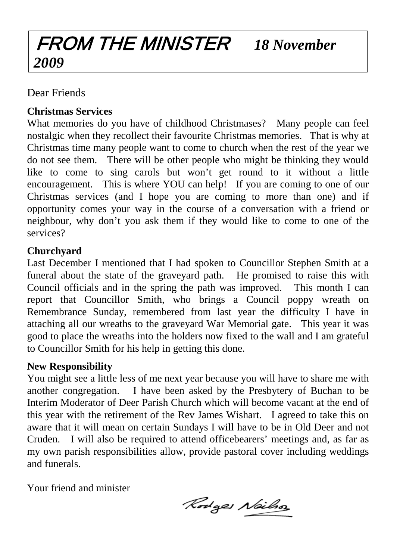## FROM THE MINISTER *18 November 2009*

Dear Friends

#### **Christmas Services**

What memories do you have of childhood Christmases? Many people can feel nostalgic when they recollect their favourite Christmas memories. That is why at Christmas time many people want to come to church when the rest of the year we do not see them. There will be other people who might be thinking they would like to come to sing carols but won't get round to it without a little encouragement. This is where YOU can help! If you are coming to one of our Christmas services (and I hope you are coming to more than one) and if opportunity comes your way in the course of a conversation with a friend or neighbour, why don't you ask them if they would like to come to one of the services?

#### **Churchyard**

Last December I mentioned that I had spoken to Councillor Stephen Smith at a funeral about the state of the graveyard path. He promised to raise this with Council officials and in the spring the path was improved. This month I can report that Councillor Smith, who brings a Council poppy wreath on Remembrance Sunday, remembered from last year the difficulty I have in attaching all our wreaths to the graveyard War Memorial gate. This year it was good to place the wreaths into the holders now fixed to the wall and I am grateful to Councillor Smith for his help in getting this done.

#### **New Responsibility**

You might see a little less of me next year because you will have to share me with another congregation. I have been asked by the Presbytery of Buchan to be Interim Moderator of Deer Parish Church which will become vacant at the end of this year with the retirement of the Rev James Wishart. I agreed to take this on aware that it will mean on certain Sundays I will have to be in Old Deer and not Cruden. I will also be required to attend officebearers' meetings and, as far as my own parish responsibilities allow, provide pastoral cover including weddings and funerals.

Your friend and minister

Rodges Neilso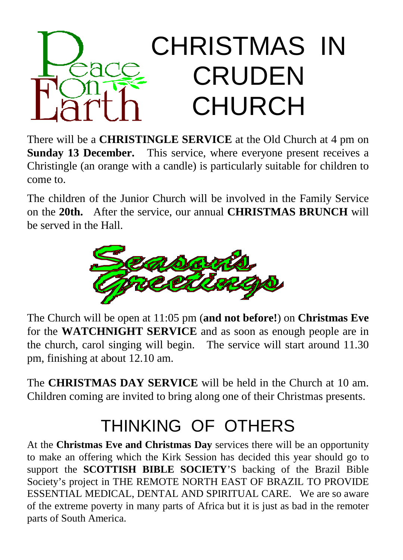# CHRISTMAS IN CRUDEN CHURCH

There will be a **CHRISTINGLE SERVICE** at the Old Church at 4 pm on **Sunday 13 December.** This service, where everyone present receives a Christingle (an orange with a candle) is particularly suitable for children to come to.

The children of the Junior Church will be involved in the Family Service on the **20th.** After the service, our annual **CHRISTMAS BRUNCH** will be served in the Hall.



The Church will be open at 11:05 pm (**and not before!**) on **Christmas Eve** for the **WATCHNIGHT SERVICE** and as soon as enough people are in the church, carol singing will begin. The service will start around 11.30 pm, finishing at about 12.10 am.

The **CHRISTMAS DAY SERVICE** will be held in the Church at 10 am. Children coming are invited to bring along one of their Christmas presents.

# THINKING OF OTHERS

At the **Christmas Eve and Christmas Day** services there will be an opportunity to make an offering which the Kirk Session has decided this year should go to support the **SCOTTISH BIBLE SOCIETY**'S backing of the Brazil Bible Society's project in THE REMOTE NORTH EAST OF BRAZIL TO PROVIDE ESSENTIAL MEDICAL, DENTAL AND SPIRITUAL CARE. We are so aware of the extreme poverty in many parts of Africa but it is just as bad in the remoter parts of South America.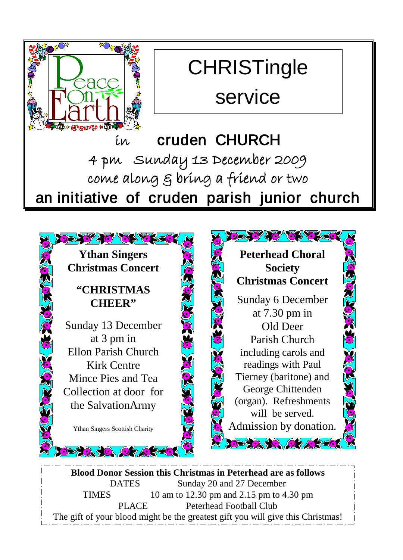

# **CHRISTingle**

service

# in cruden CHURCH 4 pm Sunday 13 December 2009 come along & bring a friend or two an initiative of cruden parish junior church

25726763636 **Ythan Singers Christmas Concert "CHRISTMAS CHEER"** Sunday 13 December at 3 pm in Ellon Parish Church Kirk Centre Mince Pies and Tea N Collection at door for the SalvationArmy Ythan Singers Scottish Charity

**SO OZC** 



**Blood Donor Session this Christmas in Peterhead are as follows** DATES Sunday 20 and 27 December TIMES 10 am to 12.30 pm and 2.15 pm to 4.30 pm PLACE Peterhead Football Club The gift of your blood might be the greatest gift you will give this Christmas!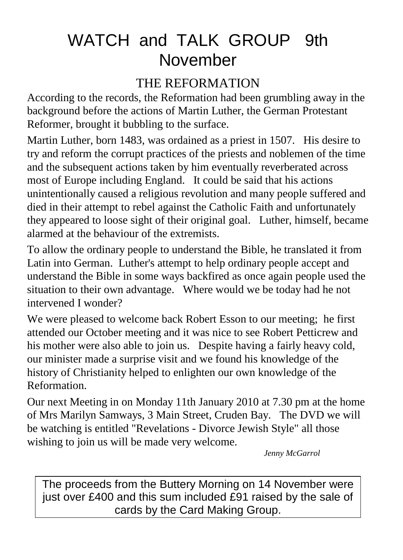# WATCH and TALK GROUP 9th November

#### THE REFORMATION

According to the records, the Reformation had been grumbling away in the background before the actions of Martin Luther, the German Protestant Reformer, brought it bubbling to the surface.

Martin Luther, born 1483, was ordained as a priest in 1507. His desire to try and reform the corrupt practices of the priests and noblemen of the time and the subsequent actions taken by him eventually reverberated across most of Europe including England. It could be said that his actions unintentionally caused a religious revolution and many people suffered and died in their attempt to rebel against the Catholic Faith and unfortunately they appeared to loose sight of their original goal. Luther, himself, became alarmed at the behaviour of the extremists.

To allow the ordinary people to understand the Bible, he translated it from Latin into German. Luther's attempt to help ordinary people accept and understand the Bible in some ways backfired as once again people used the situation to their own advantage. Where would we be today had he not intervened I wonder?

We were pleased to welcome back Robert Esson to our meeting; he first attended our October meeting and it was nice to see Robert Petticrew and his mother were also able to join us. Despite having a fairly heavy cold, our minister made a surprise visit and we found his knowledge of the history of Christianity helped to enlighten our own knowledge of the Reformation.

Our next Meeting in on Monday 11th January 2010 at 7.30 pm at the home of Mrs Marilyn Samways, 3 Main Street, Cruden Bay. The DVD we will be watching is entitled "Revelations - Divorce Jewish Style" all those wishing to join us will be made very welcome.

*Jenny McGarrol*

The proceeds from the Buttery Morning on 14 November were just over £400 and this sum included £91 raised by the sale of cards by the Card Making Group.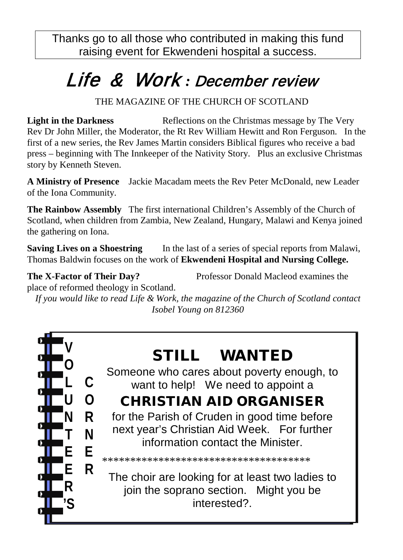Thanks go to all those who contributed in making this fund raising event for Ekwendeni hospital a success.

# Life & Work *:* December review

THE MAGAZINE OF THE CHURCH OF SCOTLAND

**Light in the Darkness** Reflections on the Christmas message by The Very Rev Dr John Miller, the Moderator, the Rt Rev William Hewitt and Ron Ferguson. In the first of a new series, the Rev James Martin considers Biblical figures who receive a bad press – beginning with The Innkeeper of the Nativity Story. Plus an exclusive Christmas story by Kenneth Steven.

**A Ministry of Presence** Jackie Macadam meets the Rev Peter McDonald, new Leader of the Iona Community.

**The Rainbow Assembly** The first international Children's Assembly of the Church of Scotland, when children from Zambia, New Zealand, Hungary, Malawi and Kenya joined the gathering on Iona.

**Saving Lives on a Shoestring** In the last of a series of special reports from Malawi, Thomas Baldwin focuses on the work of **Ekwendeni Hospital and Nursing College.**

**The X-Factor of Their Day?** Professor Donald Macleod examines the

place of reformed theology in Scotland.

*If you would like to read Life & Work, the magazine of the Church of Scotland contact Isobel Young on 812360*



## STILL WANTED

Someone who cares about poverty enough, to want to help! We need to appoint a

### CHRISTIAN AID ORGANISER

for the Parish of Cruden in good time before next year's Christian Aid Week. For further information contact the Minister.

\*\*\*\*\*\*\*\*\*\*\*\*\*\*\*\*\*\*\*\*\*\*\*\*\*\*\*\*\*\*\*\*\*\*\*\*\*

The choir are looking for at least two ladies to join the soprano section. Might you be interested?.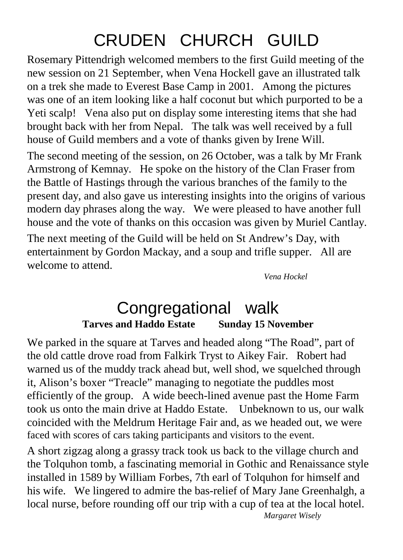# CRUDEN CHURCH GUILD

Rosemary Pittendrigh welcomed members to the first Guild meeting of the new session on 21 September, when Vena Hockell gave an illustrated talk on a trek she made to Everest Base Camp in 2001. Among the pictures was one of an item looking like a half coconut but which purported to be a Yeti scalp! Vena also put on display some interesting items that she had brought back with her from Nepal. The talk was well received by a full house of Guild members and a vote of thanks given by Irene Will.

The second meeting of the session, on 26 October, was a talk by Mr Frank Armstrong of Kemnay. He spoke on the history of the Clan Fraser from the Battle of Hastings through the various branches of the family to the present day, and also gave us interesting insights into the origins of various modern day phrases along the way. We were pleased to have another full house and the vote of thanks on this occasion was given by Muriel Cantlay. The next meeting of the Guild will be held on St Andrew's Day, with entertainment by Gordon Mackay, and a soup and trifle supper. All are welcome to attend.

*Vena Hockel*

#### Congregational walk **Tarves and Haddo Estate Sunday 15 November**

We parked in the square at Tarves and headed along "The Road", part of the old cattle drove road from Falkirk Tryst to Aikey Fair. Robert had warned us of the muddy track ahead but, well shod, we squelched through it, Alison's boxer "Treacle" managing to negotiate the puddles most efficiently of the group. A wide beech-lined avenue past the Home Farm took us onto the main drive at Haddo Estate. Unbeknown to us, our walk coincided with the Meldrum Heritage Fair and, as we headed out, we were faced with scores of cars taking participants and visitors to the event.

A short zigzag along a grassy track took us back to the village church and the Tolquhon tomb, a fascinating memorial in Gothic and Renaissance style installed in 1589 by William Forbes, 7th earl of Tolquhon for himself and his wife. We lingered to admire the bas-relief of Mary Jane Greenhalgh, a local nurse, before rounding off our trip with a cup of tea at the local hotel. *Margaret Wisely*